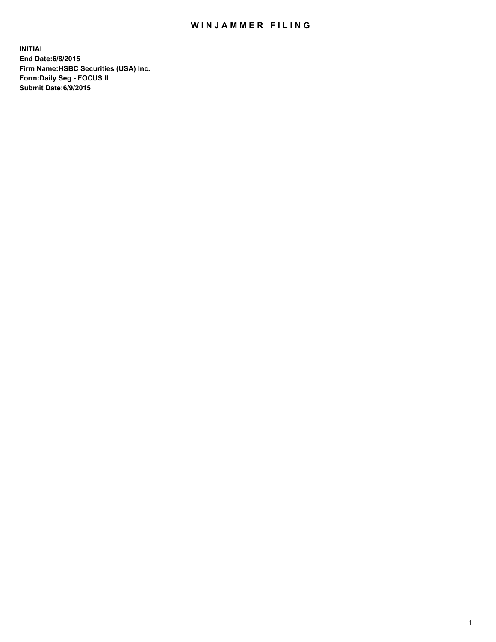## WIN JAMMER FILING

**INITIAL End Date:6/8/2015 Firm Name:HSBC Securities (USA) Inc. Form:Daily Seg - FOCUS II Submit Date:6/9/2015**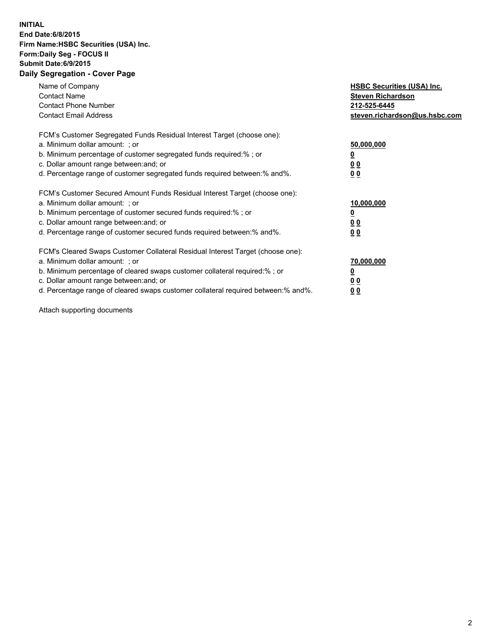## **INITIAL End Date:6/8/2015 Firm Name:HSBC Securities (USA) Inc. Form:Daily Seg - FOCUS II Submit Date:6/9/2015 Daily Segregation - Cover Page**

| Name of Company<br><b>Contact Name</b><br><b>Contact Phone Number</b><br><b>Contact Email Address</b>                                                                                                                                                                                                                         | <b>HSBC Securities (USA) Inc.</b><br><b>Steven Richardson</b><br>212-525-6445<br>steven.richardson@us.hsbc.com |
|-------------------------------------------------------------------------------------------------------------------------------------------------------------------------------------------------------------------------------------------------------------------------------------------------------------------------------|----------------------------------------------------------------------------------------------------------------|
| FCM's Customer Segregated Funds Residual Interest Target (choose one):<br>a. Minimum dollar amount: ; or<br>b. Minimum percentage of customer segregated funds required:% ; or<br>c. Dollar amount range between: and; or<br>d. Percentage range of customer segregated funds required between: % and %.                      | 50,000,000<br>00<br>0 <sub>0</sub>                                                                             |
| FCM's Customer Secured Amount Funds Residual Interest Target (choose one):<br>a. Minimum dollar amount: ; or<br>b. Minimum percentage of customer secured funds required:%; or<br>c. Dollar amount range between: and; or<br>d. Percentage range of customer secured funds required between:% and%.                           | 10,000,000<br>0 <sub>0</sub><br>0 <sub>0</sub>                                                                 |
| FCM's Cleared Swaps Customer Collateral Residual Interest Target (choose one):<br>a. Minimum dollar amount: ; or<br>b. Minimum percentage of cleared swaps customer collateral required:%; or<br>c. Dollar amount range between: and; or<br>d. Percentage range of cleared swaps customer collateral required between:% and%. | 70,000,000<br>0 <sub>0</sub><br>00                                                                             |

Attach supporting documents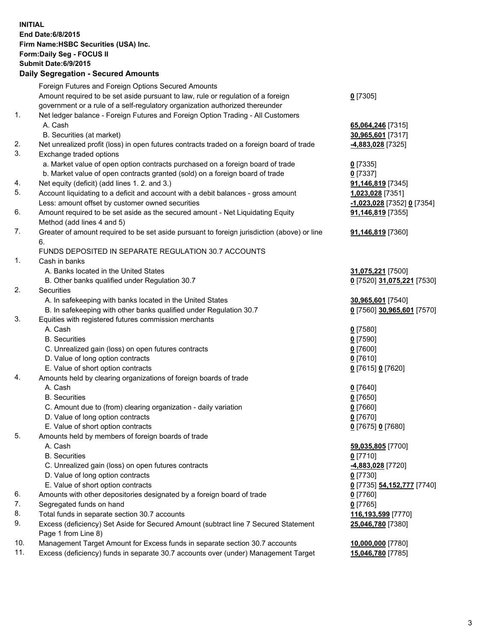**INITIAL End Date:6/8/2015 Firm Name:HSBC Securities (USA) Inc. Form:Daily Seg - FOCUS II Submit Date:6/9/2015 Daily Segregation - Secured Amounts** Foreign Futures and Foreign Options Secured Amounts Amount required to be set aside pursuant to law, rule or regulation of a foreign government or a rule of a self-regulatory organization authorized thereunder **0** [7305] 1. Net ledger balance - Foreign Futures and Foreign Option Trading - All Customers A. Cash **65,064,246** [7315] B. Securities (at market) **30,965,601** [7317] 2. Net unrealized profit (loss) in open futures contracts traded on a foreign board of trade **-4,883,028** [7325] 3. Exchange traded options a. Market value of open option contracts purchased on a foreign board of trade **0** [7335] b. Market value of open contracts granted (sold) on a foreign board of trade **0** [7337] 4. Net equity (deficit) (add lines 1. 2. and 3.) **91,146,819** [7345] 5. Account liquidating to a deficit and account with a debit balances - gross amount **1,023,028** [7351] Less: amount offset by customer owned securities **-1,023,028** [7352] **0** [7354] 6. Amount required to be set aside as the secured amount - Net Liquidating Equity Method (add lines 4 and 5) **91,146,819** [7355] 7. Greater of amount required to be set aside pursuant to foreign jurisdiction (above) or line 6. **91,146,819** [7360] FUNDS DEPOSITED IN SEPARATE REGULATION 30.7 ACCOUNTS 1. Cash in banks A. Banks located in the United States **31,075,221** [7500] B. Other banks qualified under Regulation 30.7 **0** [7520] **31,075,221** [7530] 2. Securities A. In safekeeping with banks located in the United States **30,965,601** [7540] B. In safekeeping with other banks qualified under Regulation 30.7 **0** [7560] **30,965,601** [7570] 3. Equities with registered futures commission merchants A. Cash **0** [7580] B. Securities **0** [7590] C. Unrealized gain (loss) on open futures contracts **0** [7600] D. Value of long option contracts **0** [7610] E. Value of short option contracts **0** [7615] **0** [7620] 4. Amounts held by clearing organizations of foreign boards of trade A. Cash **0** [7640] B. Securities **0** [7650] C. Amount due to (from) clearing organization - daily variation **0** [7660] D. Value of long option contracts **0** [7670] E. Value of short option contracts **0** [7675] **0** [7680] 5. Amounts held by members of foreign boards of trade A. Cash **59,035,805** [7700] B. Securities **0** [7710] C. Unrealized gain (loss) on open futures contracts **-4,883,028** [7720] D. Value of long option contracts **0** [7730] E. Value of short option contracts **0** [7735] **54,152,777** [7740] 6. Amounts with other depositories designated by a foreign board of trade **0** [7760] 7. Segregated funds on hand **0** [7765] 8. Total funds in separate section 30.7 accounts **116,193,599** [7770] 9. Excess (deficiency) Set Aside for Secured Amount (subtract line 7 Secured Statement Page 1 from Line 8) **25,046,780** [7380] 10. Management Target Amount for Excess funds in separate section 30.7 accounts **10,000,000** [7780] 11. Excess (deficiency) funds in separate 30.7 accounts over (under) Management Target **15,046,780** [7785]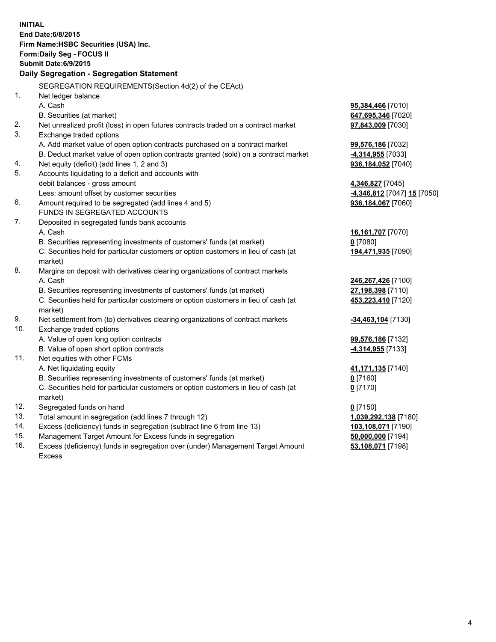| <b>INITIAL</b>                            | End Date: 6/8/2015<br>Firm Name: HSBC Securities (USA) Inc.                                    |                             |  |  |  |
|-------------------------------------------|------------------------------------------------------------------------------------------------|-----------------------------|--|--|--|
| Form: Daily Seg - FOCUS II                |                                                                                                |                             |  |  |  |
|                                           | <b>Submit Date:6/9/2015</b>                                                                    |                             |  |  |  |
| Daily Segregation - Segregation Statement |                                                                                                |                             |  |  |  |
|                                           | SEGREGATION REQUIREMENTS(Section 4d(2) of the CEAct)                                           |                             |  |  |  |
| 1.                                        | Net ledger balance                                                                             |                             |  |  |  |
|                                           | A. Cash                                                                                        | 95,384,466 [7010]           |  |  |  |
|                                           | B. Securities (at market)                                                                      | 647,695,346 [7020]          |  |  |  |
| 2.                                        | Net unrealized profit (loss) in open futures contracts traded on a contract market             | 97,843,009 [7030]           |  |  |  |
| 3.                                        | Exchange traded options                                                                        |                             |  |  |  |
|                                           | A. Add market value of open option contracts purchased on a contract market                    | 99,576,186 [7032]           |  |  |  |
|                                           | B. Deduct market value of open option contracts granted (sold) on a contract market            | 4,314,955 [7033]            |  |  |  |
| 4.                                        | Net equity (deficit) (add lines 1, 2 and 3)                                                    | 936,184,052 [7040]          |  |  |  |
| 5.                                        | Accounts liquidating to a deficit and accounts with                                            |                             |  |  |  |
|                                           | debit balances - gross amount                                                                  | 4,346,827 [7045]            |  |  |  |
|                                           | Less: amount offset by customer securities                                                     | -4,346,812 [7047] 15 [7050] |  |  |  |
| 6.                                        | Amount required to be segregated (add lines 4 and 5)                                           | 936,184,067 [7060]          |  |  |  |
|                                           | FUNDS IN SEGREGATED ACCOUNTS                                                                   |                             |  |  |  |
| 7.                                        | Deposited in segregated funds bank accounts                                                    |                             |  |  |  |
|                                           | A. Cash                                                                                        | 16,161,707 [7070]           |  |  |  |
|                                           | B. Securities representing investments of customers' funds (at market)                         | $0$ [7080]                  |  |  |  |
|                                           | C. Securities held for particular customers or option customers in lieu of cash (at<br>market) | 194,471,935 [7090]          |  |  |  |
| 8.                                        | Margins on deposit with derivatives clearing organizations of contract markets                 |                             |  |  |  |
|                                           | A. Cash                                                                                        | 246,267,426 [7100]          |  |  |  |
|                                           | B. Securities representing investments of customers' funds (at market)                         | 27,198,398 [7110]           |  |  |  |
|                                           | C. Securities held for particular customers or option customers in lieu of cash (at<br>market) | 453,223,410 [7120]          |  |  |  |
| 9.                                        | Net settlement from (to) derivatives clearing organizations of contract markets                | -34,463,104 [7130]          |  |  |  |
| 10.                                       | Exchange traded options                                                                        |                             |  |  |  |
|                                           | A. Value of open long option contracts                                                         | 99,576,186 [7132]           |  |  |  |
|                                           | B. Value of open short option contracts                                                        | 4,314,955 [7133]            |  |  |  |
| 11.                                       | Net equities with other FCMs                                                                   |                             |  |  |  |
|                                           | A. Net liquidating equity                                                                      | 41,171,135 [7140]           |  |  |  |
|                                           | B. Securities representing investments of customers' funds (at market)                         | $0$ [7160]                  |  |  |  |
|                                           | C. Securities held for particular customers or option customers in lieu of cash (at<br>market) | $0$ [7170]                  |  |  |  |
| 12.                                       | Segregated funds on hand                                                                       | $0$ [7150]                  |  |  |  |
| 13.                                       | Total amount in segregation (add lines 7 through 12)                                           | 1,039,292,138 [7180]        |  |  |  |
| 14.                                       | Excess (deficiency) funds in segregation (subtract line 6 from line 13)                        | 103,108,071 [7190]          |  |  |  |
| 15.                                       | Management Target Amount for Excess funds in segregation                                       | 50,000,000 [7194]           |  |  |  |
| 16.                                       | Excess (deficiency) funds in segregation over (under) Management Target Amount                 | 53,108,071 [7198]           |  |  |  |
|                                           | Excess                                                                                         |                             |  |  |  |